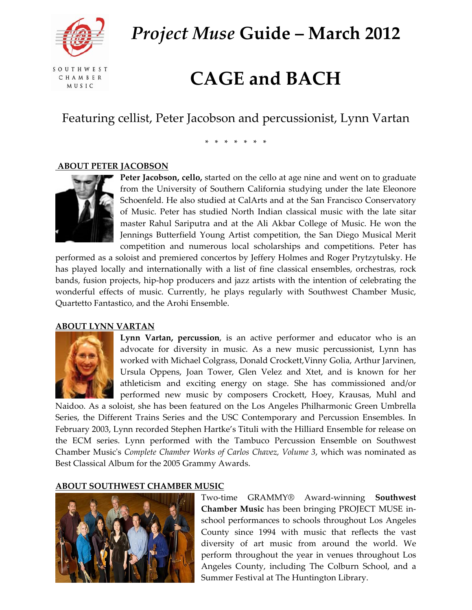

*Project Muse* **Guide – March 2012**

SOUTHWEST CHAMBER **MUSIC** 

# **CAGE and BACH**

Featuring cellist, Peter Jacobson and percussionist, Lynn Vartan

\* \* \* \* \* \* \*

### **ABOUT PETER JACOBSON**



**Peter Jacobson, cello,** started on the cello at age nine and went on to graduate from the University of Southern California studying under the late Eleonore Schoenfeld. He also studied at CalArts and at the San Francisco Conservatory of Music. Peter has studied North Indian classical music with the late sitar master Rahul Sariputra and at the Ali Akbar College of Music. He won the Jennings Butterfield Young Artist competition, the San Diego Musical Merit competition and numerous local scholarships and competitions. Peter has

performed as a soloist and premiered concertos by Jeffery Holmes and Roger Prytzytulsky. He has played locally and internationally with a list of fine classical ensembles, orchestras, rock bands, fusion projects, hip‐hop producers and jazz artists with the intention of celebrating the wonderful effects of music. Currently, he plays regularly with Southwest Chamber Music, Quartetto Fantastico, and the Arohi Ensemble.

#### **ABOUT LYNN VARTAN**



**Lynn Vartan, percussion**, is an active performer and educator who is an advocate for diversity in music. As a new music percussionist, Lynn has worked with Michael Colgrass, Donald Crockett,Vinny Golia, Arthur Jarvinen, Ursula Oppens, Joan Tower, Glen Velez and Xtet, and is known for her athleticism and exciting energy on stage. She has commissioned and/or performed new music by composers Crockett, Hoey, Krausas, Muhl and

Naidoo. As a soloist, she has been featured on the Los Angeles Philharmonic Green Umbrella Series, the Different Trains Series and the USC Contemporary and Percussion Ensembles. In February 2003, Lynn recorded Stephen Hartke's Tituli with the Hilliard Ensemble for release on the ECM series. Lynn performed with the Tambuco Percussion Ensemble on Southwest Chamber Musicʹs *Complete Chamber Works of Carlos Chavez, Volume 3*, which was nominated as Best Classical Album for the 2005 Grammy Awards.

# **ABOUT SOUTHWEST CHAMBER MUSIC**



Two‐time GRAMMY® Award‐winning **Southwest Chamber Music** has been bringing PROJECT MUSE in‐ school performances to schools throughout Los Angeles County since 1994 with music that reflects the vast diversity of art music from around the world. We perform throughout the year in venues throughout Los Angeles County, including The Colburn School, and a Summer Festival at The Huntington Library.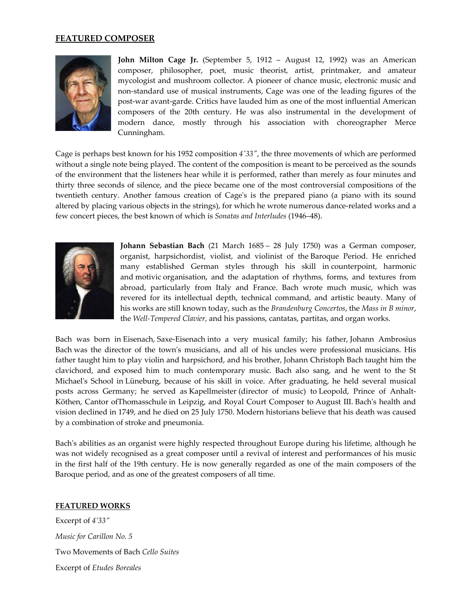### **FEATURED COMPOSER**



**John Milton Cage Jr.** (September 5, 1912 – August 12, 1992) was an American [composer](http://en.wikipedia.org/wiki/Composer), [philosopher,](http://en.wikipedia.org/wiki/Philosopher) [poet](http://en.wikipedia.org/wiki/Poetry), music [theorist](http://en.wikipedia.org/wiki/Music_theory), [artist](http://en.wikipedia.org/wiki/Artist), [printmaker](http://en.wikipedia.org/wiki/Printmaking), and amateur [mycologist](http://en.wikipedia.org/wiki/Mycology) and [mushroom](http://en.wikipedia.org/wiki/Mushroom) collector. A pioneer of [chance](http://en.wikipedia.org/wiki/Aleatoric_music) music, [electronic](http://en.wikipedia.org/wiki/Electronic_music) music and non‐standard use of musical [instruments,](http://en.wikipedia.org/wiki/Extended_technique) Cage was one of the leading figures of the post‐war avant‐[garde.](http://en.wikipedia.org/wiki/Avant-garde) Critics have lauded him as one of the most influential American composers of the 20th century. He was also instrumental in the development of [modern](http://en.wikipedia.org/wiki/Modern_dance) dance, mostly through his association with choreographer [Merce](http://en.wikipedia.org/wiki/Merce_Cunningham) [Cunningham.](http://en.wikipedia.org/wiki/Merce_Cunningham)

Cage is perhaps best known for his 1952 composition *4′[33](http://en.wikipedia.org/wiki/4%E2%80%B233%E2%80%B3)″*, the three movements of which are performed without a single note being played. The content of the composition is meant to be perceived as the sounds of the environment that the listeners hear while it is performed, rather than merely as four minutes and thirty three seconds of silence, and the piece became one of the most controversial compositions of the twentieth century. Another famous creation of Cage's is the [prepared](http://en.wikipedia.org/wiki/Prepared_piano) piano (a piano with its sound altered by placing various objects in the strings), for which he wrote numerous dance-related works and a few concert pieces, the best known of which is *Sonatas and [Interludes](http://en.wikipedia.org/wiki/Sonatas_and_Interludes)* (1946–48).



**Johann Sebastian Bach** (21 March 1685 – 28 July 1750) was a German composer, organist, harpsichordist, violist, and violinist of the [Baroque](http://en.wikipedia.org/wiki/Baroque_Period) Period. He enriched many established German styles through his skill in [counterpoint,](http://en.wikipedia.org/wiki/Counterpoint) harmonic and [motivic](http://en.wikipedia.org/wiki/Motif_(music)) organisation, and the adaptation of rhythms, forms, and textures from abroad, particularly from Italy and France. Bach wrote much music, which was revered for its intellectual depth, technical command, and artistic beauty. Many of his [works](http://en.wikipedia.org/wiki/List_of_compositions_by_Johann_Sebastian_Bach) are still known today, such as the *Brandenburg Concertos*, the *Mass in B minor*, the *Well‐Tempered Clavier*, and his passions, cantatas, partitas, and organ works.

Bach was born in [Eisenach,](http://en.wikipedia.org/wiki/Eisenach) Saxe‐[Eisenach](http://en.wikipedia.org/wiki/Saxe-Eisenach) into a very musical family; his father, Johann [Ambrosius](http://en.wikipedia.org/wiki/Johann_Ambrosius_Bach) [Bach](http://en.wikipedia.org/wiki/Johann_Ambrosius_Bach) was the director of the town's musicians, and all of his uncles were professional musicians. His father taught him to play violin and harpsichord, and his brother, Johann [Christoph](http://en.wikipedia.org/wiki/Johann_Christoph_Bach_(1671%E2%80%931721)) Bach taught him the clavichord, and exposed him to much contemporary music. Bach also sang, and he went to the St Michaelʹs School in [Lüneburg,](http://en.wikipedia.org/wiki/L%C3%BCneburg) because of his skill in voice. After graduating, he held several musical posts across Germany; he served as [Kapellmeister](http://en.wikipedia.org/wiki/Kapellmeister) (director of music) to [Leopold,](http://en.wikipedia.org/wiki/Leopold,_Prince_of_Anhalt-K%C3%B6then) Prince of Anhalt-[Köthen](http://en.wikipedia.org/wiki/Leopold,_Prince_of_Anhalt-K%C3%B6then), Cantor of[Thomasschule](http://en.wikipedia.org/wiki/Thomasschule_zu_Leipzig) in Leipzig, and Royal Court Composer to [August](http://en.wikipedia.org/wiki/August_III) III. Bach's health and vision declined in 1749, and he died on 25 July 1750. Modern historians believe that his death was caused by a combination of stroke and pneumonia.

Bach's abilities as an organist were highly respected throughout Europe during his lifetime, although he was not widely recognised as a great composer until a revival of interest and performances of his music in the first half of the 19th century. He is now generally regarded as one of the main composers of the Baroque period, and as one of the greatest composers of all time.

#### **FEATURED WORKS**

Excerpt of *4'33" Music for Carillon No. 5* Two Movements of Bach *Cello Suites* Excerpt of *Etudes Boreales*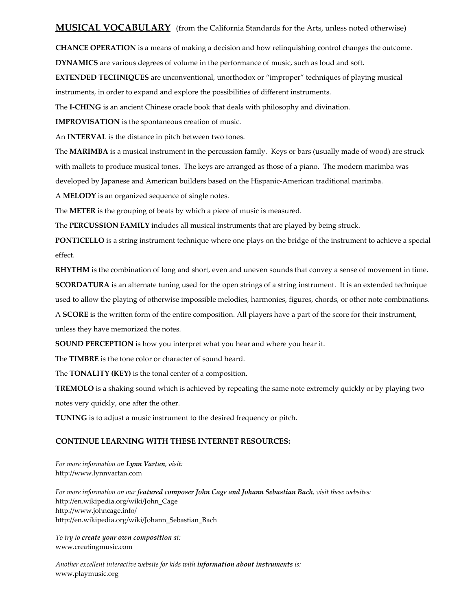## **MUSICAL VOCABULARY** (from the California Standards for the Arts, unless noted otherwise)

**CHANCE OPERATION** is a means of making a decision and how relinquishing control changes the outcome.

**DYNAMICS** are various degrees of volume in the performance of music, such as loud and soft.

**EXTENDED TECHNIQUES** are unconventional, unorthodox or "improper" techniques of playing musical instruments, in order to expand and explore the possibilities of different instruments.

The **I‐CHING** is an ancient Chinese oracle book that deals with philosophy and divination.

**IMPROVISATION** is the spontaneous creation of music.

An **INTERVAL** is the distance in pitch between two tones.

The **MARIMBA** is a musical instrument in the percussion family. Keys or bars (usually made of wood) are struck with mallets to produce musical tones. The keys are arranged as those of a piano. The modern marimba was developed by Japanese and American builders based on the Hispanic‐American traditional marimba.

A **MELODY** is an organized sequence of single notes.

The **METER** is the grouping of beats by which a piece of music is measured.

The **PERCUSSION FAMILY** includes all musical instruments that are played by being struck.

**PONTICELLO** is a string instrument technique where one plays on the bridge of the instrument to achieve a special effect.

**RHYTHM** is the combination of long and short, even and uneven sounds that convey a sense of movement in time. **SCORDATURA** is an alternate tuning used for the open strings of a string instrument. It is an extended technique

used to allow the playing of otherwise impossible melodies, harmonies, figures, chords, or other note combinations.

A **SCORE** is the written form of the entire composition. All players have a part of the score for their instrument,

unless they have memorized the notes.

**SOUND PERCEPTION** is how you interpret what you hear and where you hear it.

The **TIMBRE** is the tone color or character of sound heard.

The **TONALITY (KEY)** is the tonal center of a composition.

**TREMOLO** is a shaking sound which is achieved by repeating the same note extremely quickly or by playing two notes very quickly, one after the other.

**TUNING** is to adjust a music instrument to the desired frequency or pitch.

#### **CONTINUE LEARNING WITH THESE INTERNET RESOURCES:**

*For more information on Lynn Vartan, visit:* http://www.lynnvartan.com

*For more information on our featured composer John Cage and Johann Sebastian Bach, visit these websites:* http://en.wikipedia.org/wiki/John\_Cage <http://www.johncage.info/> [http://en.wikipedia.org/wiki/Johann\\_Sebastian\\_Bach](http://en.wikipedia.org/wiki/Johann_Sebastian_Bach)

*To try to create your own composition at:* www.creatingmusic.com

*Another excellent interactive website for kids with information about instruments is:* www.playmusic.org